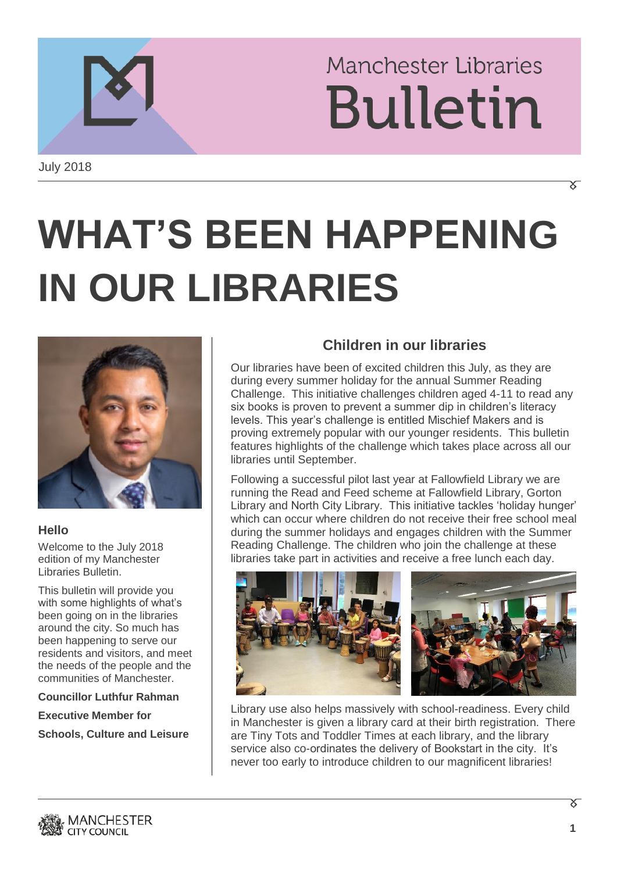## **Manchester Libraries Bulletin**

# **WHAT'S BEEN HAPPENING IN OUR LIBRARIES**



#### **Hello**

Welcome to the July 2018 edition of my Manchester Libraries Bulletin.

This bulletin will provide you with some highlights of what's been going on in the libraries around the city. So much has been happening to serve our residents and visitors, and meet the needs of the people and the communities of Manchester.

**Councillor Luthfur Rahman**

**Executive Member for**

**Schools, Culture and Leisure**

### **Children in our libraries**

Our libraries have been of excited children this July, as they are during every summer holiday for the annual Summer Reading Challenge. This initiative challenges children aged 4-11 to read any six books is proven to prevent a summer dip in children's literacy levels. This year's challenge is entitled Mischief Makers and is proving extremely popular with our younger residents. This bulletin features highlights of the challenge which takes place across all our libraries until September.

Following a successful pilot last year at Fallowfield Library we are running the Read and Feed scheme at Fallowfield Library, Gorton Library and North City Library. This initiative tackles 'holiday hunger' which can occur where children do not receive their free school meal during the summer holidays and engages children with the Summer Reading Challenge. The children who join the challenge at these libraries take part in activities and receive a free lunch each day.



Library use also helps massively with school-readiness. Every child in Manchester is given a library card at their birth registration. There are Tiny Tots and Toddler Times at each library, and the library service also co-ordinates the delivery of Bookstart in the city. It's never too early to introduce children to our magnificent libraries!

X **1**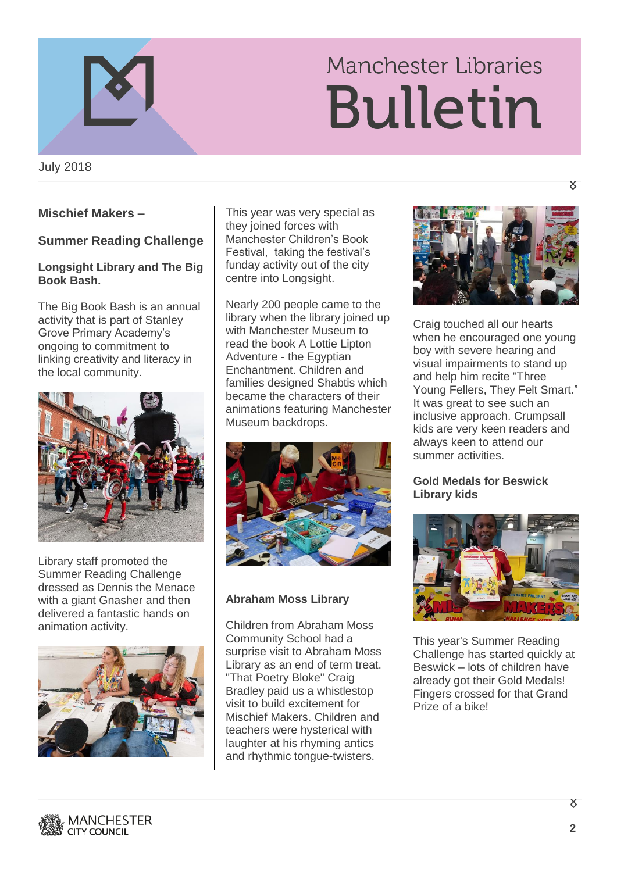



July 2018

#### **Mischief Makers –**

#### **Summer Reading Challenge**

#### **Longsight Library and The Big Book Bash.**

The Big Book Bash is an annual activity that is part of Stanley Grove Primary Academy's ongoing to commitment to linking creativity and literacy in the local community.



Library staff promoted the Summer Reading Challenge dressed as Dennis the Menace with a giant Gnasher and then delivered a fantastic hands on animation activity.



This year was very special as they joined forces with Manchester Children's Book Festival, taking the festival's funday activity out of the city centre into Longsight.

Nearly 200 people came to the library when the library joined up with Manchester Museum to read the book A Lottie Lipton Adventure - the Egyptian Enchantment. Children and families designed Shabtis which became the characters of their animations featuring Manchester Museum backdrops.



#### **Abraham Moss Library**

Children from Abraham Moss Community School had a surprise visit to Abraham Moss Library as an end of term treat. "That Poetry Bloke" Craig Bradley paid us a whistlestop visit to build excitement for Mischief Makers. Children and teachers were hysterical with laughter at his rhyming antics and rhythmic tongue-twisters.



Craig touched all our hearts when he encouraged one young boy with severe hearing and visual impairments to stand up and help him recite "Three Young Fellers, They Felt Smart." It was great to see such an inclusive approach. Crumpsall kids are very keen readers and always keen to attend our summer activities.

#### **Gold Medals for Beswick Library kids**



This year's Summer Reading Challenge has started quickly at Beswick – lots of children have already got their Gold Medals! Fingers crossed for that Grand Prize of a bike!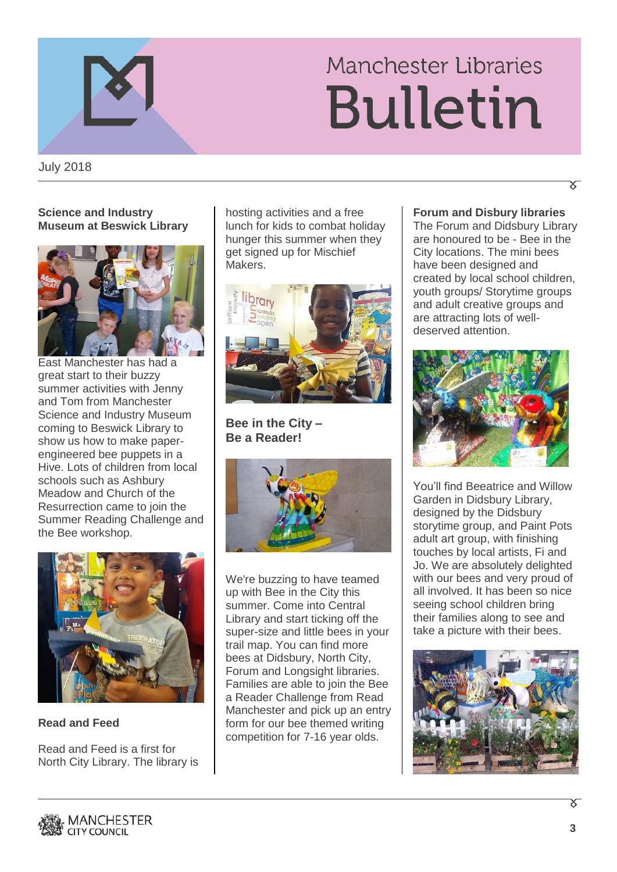### Manchester Libraries **Bulletin**

July 2018

#### **Science and Industry Museum at Beswick Library**



East Manchester has had a great start to their buzzy summer activities with Jenny and Tom from Manchester Science and Industry Museum coming to Beswick Library to show us how to make paperengineered bee puppets in a Hive. Lots of children from local schools such as Ashbury Meadow and Church of the Resurrection came to join the Summer Reading Challenge and the Bee workshop.



**Read and Feed** 

Read and Feed is a first for North City Library. The library is hosting activities and a free lunch for kids to combat holiday hunger this summer when they get signed up for Mischief Makers.



**Bee in the City – Be a Reader!**



We're buzzing to have teamed up with Bee in the City this summer. Come into Central Library and start ticking off the super-size and little bees in your trail map. You can find more bees at Didsbury, North City, Forum and Longsight libraries. Families are able to join the Bee a Reader Challenge from Read Manchester and pick up an entry form for our bee themed writing competition for 7-16 year olds.

**Forum and Disbury libraries**

The Forum and Didsbury Library are honoured to be - Bee in the City locations. The mini bees have been designed and created by local school children, youth groups/ Storytime groups and adult creative groups and are attracting lots of welldeserved attention.



You'll find Beeatrice and Willow Garden in Didsbury Library, designed by the Didsbury storytime group, and Paint Pots adult art group, with finishing touches by local artists, Fi and Jo. We are absolutely delighted with our bees and very proud of all involved. It has been so nice seeing school children bring their families along to see and take a picture with their bees.